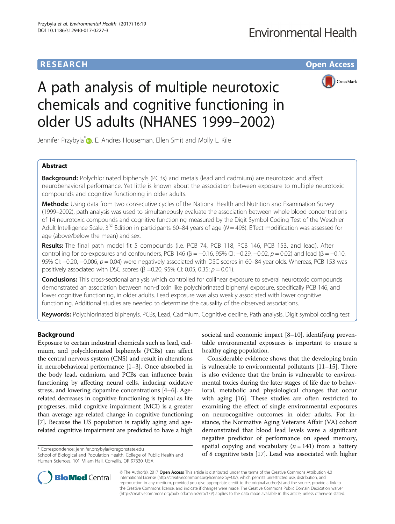# **RESEARCH CHE Open Access**



# A path analysis of multiple neurotoxic chemicals and cognitive functioning in older US adults (NHANES 1999–2002)

Jennifer Przybyla<sup>\*</sup> , E. Andres Houseman, Ellen Smit and Molly L. Kile

# Abstract

**Background:** Polychlorinated biphenyls (PCBs) and metals (lead and cadmium) are neurotoxic and affect neurobehavioral performance. Yet little is known about the association between exposure to multiple neurotoxic compounds and cognitive functioning in older adults.

Methods: Using data from two consecutive cycles of the National Health and Nutrition and Examination Survey (1999–2002), path analysis was used to simultaneously evaluate the association between whole blood concentrations of 14 neurotoxic compounds and cognitive functioning measured by the Digit Symbol Coding Test of the Weschler Adult Intelligence Scale,  $3^{rd}$  Edition in participants 60–84 years of age (N = 498). Effect modification was assessed for age (above/below the mean) and sex.

Results: The final path model fit 5 compounds (i.e. PCB 74, PCB 118, PCB 146, PCB 153, and lead). After controlling for co-exposures and confounders, PCB 146 ( $\beta$  = −0.16, 95% CI: −0.29, −0.02, p = 0.02) and lead ( $\beta$  = −0.10, 95% CI: −0.20, −0.006, p = 0.04) were negatively associated with DSC scores in 60–84 year olds. Whereas, PCB 153 was positively associated with DSC scores ( $\beta$  =0.20, 95% CI: 0.05, 0.35;  $p = 0.01$ ).

**Conclusions:** This cross-sectional analysis which controlled for collinear exposure to several neurotoxic compounds demonstrated an association between non-dioxin like polychlorinated biphenyl exposure, specifically PCB 146, and lower cognitive functioning, in older adults. Lead exposure was also weakly associated with lower cognitive functioning. Additional studies are needed to determine the causality of the observed associations.

Keywords: Polychlorinated biphenyls, PCBs, Lead, Cadmium, Cognitive decline, Path analysis, Digit symbol coding test

# Background

Exposure to certain industrial chemicals such as lead, cadmium, and polychlorinated biphenyls (PCBs) can affect the central nervous system (CNS) and result in alterations in neurobehavioral performance [[1](#page-9-0)–[3](#page-9-0)]. Once absorbed in the body lead, cadmium, and PCBs can influence brain functioning by affecting neural cells, inducing oxidative stress, and lowering dopamine concentrations [[4](#page-9-0)–[6](#page-9-0)]. Agerelated decreases in cognitive functioning is typical as life progresses, mild cognitive impairment (MCI) is a greater than average age-related change in cognitive functioning [[7\]](#page-9-0). Because the US population is rapidly aging and agerelated cognitive impairment are predicted to have a high

societal and economic impact [[8](#page-9-0)–[10](#page-9-0)], identifying preventable environmental exposures is important to ensure a healthy aging population.

Considerable evidence shows that the developing brain is vulnerable to environmental pollutants [\[11](#page-9-0)–[15\]](#page-9-0). There is also evidence that the brain is vulnerable to environmental toxics during the later stages of life due to behavioral, metabolic and physiological changes that occur with aging [\[16](#page-9-0)]. These studies are often restricted to examining the effect of single environmental exposures on neurocognitive outcomes in older adults. For instance, the Normative Aging Veterans Affair (VA) cohort demonstrated that blood lead levels were a significant negative predictor of performance on speed memory, spatial copying and vocabulary ( $n = 141$ ) from a battery of 8 correspondence: [jennifer.przybyla@oregonstate.edu](mailto:jennifer.przybyla@oregonstate.edu)<br>School of Biological and Population Health, College of Public Health and **by the Conditive tests [\[17](#page-9-0)]. Lead was associated with higher** 



© The Author(s). 2017 **Open Access** This article is distributed under the terms of the Creative Commons Attribution 4.0 International License [\(http://creativecommons.org/licenses/by/4.0/](http://creativecommons.org/licenses/by/4.0/)), which permits unrestricted use, distribution, and reproduction in any medium, provided you give appropriate credit to the original author(s) and the source, provide a link to the Creative Commons license, and indicate if changes were made. The Creative Commons Public Domain Dedication waiver [\(http://creativecommons.org/publicdomain/zero/1.0/](http://creativecommons.org/publicdomain/zero/1.0/)) applies to the data made available in this article, unless otherwise stated.

School of Biological and Population Health, College of Public Health and Human Sciences, 101 Milam Hall, Corvallis, OR 97330, USA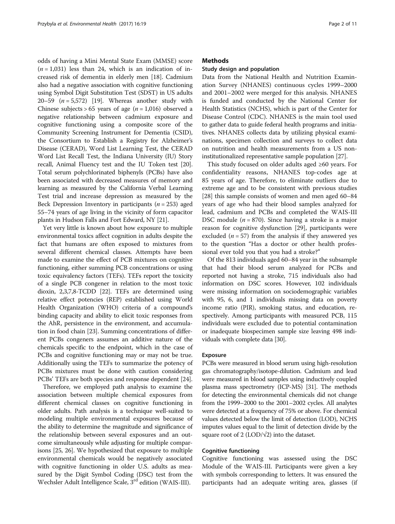odds of having a Mini Mental State Exam (MMSE) score  $(n = 1,031)$  less than 24, which is an indication of increased risk of dementia in elderly men [\[18\]](#page-9-0). Cadmium also had a negative association with cognitive functioning using Symbol Digit Substitution Test (SDST) in US adults 20–59  $(n = 5,572)$  [[19](#page-9-0)]. Whereas another study with Chinese subjects > 65 years of age ( $n = 1,016$ ) observed a negative relationship between cadmium exposure and cognitive functioning using a composite score of the Community Screening Instrument for Dementia (CSID), the Consortium to Establish a Registry for Alzheimer's Disease (CERAD), Word List Learning Test, the CERAD Word List Recall Test, the Indiana University (IU) Story recall, Animal Fluency test and the IU Token test [[20](#page-9-0)]. Total serum polychlorinated biphenyls (PCBs) have also been associated with decreased measures of memory and learning as measured by the California Verbal Learning Test trial and increase depression as measured by the Beck Depression Inventory in participants ( $n = 253$ ) aged 55–74 years of age living in the vicinity of form capacitor plants in Hudson Falls and Fort Edward, NY [[21\]](#page-9-0).

Yet very little is known about how exposure to multiple environmental toxics affect cognition in adults despite the fact that humans are often exposed to mixtures from several different chemical classes. Attempts have been made to examine the effect of PCB mixtures on cognitive functioning, either summing PCB concentrations or using toxic equivalency factors (TEFs). TEFs report the toxicity of a single PCB congener in relation to the most toxic dioxin, 2,3,7,8-TCDD [[22](#page-9-0)]. TEFs are determined using relative effect potencies (REP) established using World Health Organization (WHO) criteria of a compound's binding capacity and ability to elicit toxic responses from the AhR, persistence in the environment, and accumulation in food chain [\[23\]](#page-9-0). Summing concentrations of different PCBs congeners assumes an additive nature of the chemicals specific to the endpoint, which in the case of PCBs and cognitive functioning may or may not be true. Additionally using the TEFs to summarize the potency of PCBs mixtures must be done with caution considering PCBs' TEFs are both species and response dependent [[24](#page-9-0)].

Therefore, we employed path analysis to examine the association between multiple chemical exposures from different chemical classes on cognitive functioning in older adults. Path analysis is a technique well-suited to modeling multiple environmental exposures because of the ability to determine the magnitude and significance of the relationship between several exposures and an outcome simultaneously while adjusting for multiple comparisons [\[25, 26](#page-9-0)]. We hypothesized that exposure to multiple environmental chemicals would be negatively associated with cognitive functioning in older U.S. adults as measured by the Digit Symbol Coding (DSC) test from the Wechsler Adult Intelligence Scale, 3<sup>rd</sup> edition (WAIS-III).

# **Methods**

## Study design and population

Data from the National Health and Nutrition Examination Survey (NHANES) continuous cycles 1999–2000 and 2001–2002 were merged for this analysis. NHANES is funded and conducted by the National Center for Health Statistics (NCHS), which is part of the Center for Disease Control (CDC). NHANES is the main tool used to gather data to guide federal health programs and initiatives. NHANES collects data by utilizing physical examinations, specimen collection and surveys to collect data on nutrition and health measurements from a US noninstitutionalized representative sample population [[27](#page-9-0)].

This study focused on older adults aged ≥60 years. For confidentiality reasons, NHANES top-codes age at 85 years of age. Therefore, to eliminate outliers due to extreme age and to be consistent with previous studies [[28\]](#page-9-0) this sample consists of women and men aged 60–84 years of age who had their blood samples analyzed for lead, cadmium and PCBs and completed the WAIS-III DSC module  $(n = 870)$ . Since having a stroke is a major reason for cognitive dysfunction [[29\]](#page-9-0), participants were excluded ( $n = 57$ ) from the analysis if they answered yes to the question "Has a doctor or other health professional ever told you that you had a stroke?"

Of the 813 individuals aged 60–84 year in the subsample that had their blood serum analyzed for PCBs and reported not having a stroke, 715 individuals also had information on DSC scores. However, 102 individuals were missing information on sociodemographic variables with 95, 6, and 1 individuals missing data on poverty income ratio (PIR), smoking status, and education, respectively. Among participants with measured PCB, 115 individuals were excluded due to potential contamination or inadequate biospecimen sample size leaving 498 individuals with complete data [\[30\]](#page-9-0).

## Exposure

PCBs were measured in blood serum using high-resolution gas chromatography/isotope-dilution. Cadmium and lead were measured in blood samples using inductively coupled plasma mass spectrometry (ICP-MS) [\[31\]](#page-9-0). The methods for detecting the environmental chemicals did not change from the 1999–2000 to the 2001–2002 cycles. All analytes were detected at a frequency of 75% or above. For chemical values detected below the limit of detection (LOD), NCHS imputes values equal to the limit of detection divide by the square root of 2 (LOD/ $\sqrt{2}$ ) into the dataset.

# Cognitive functioning

Cognitive functioning was assessed using the DSC Module of the WAIS-III. Participants were given a key with symbols corresponding to letters. It was ensured the participants had an adequate writing area, glasses (if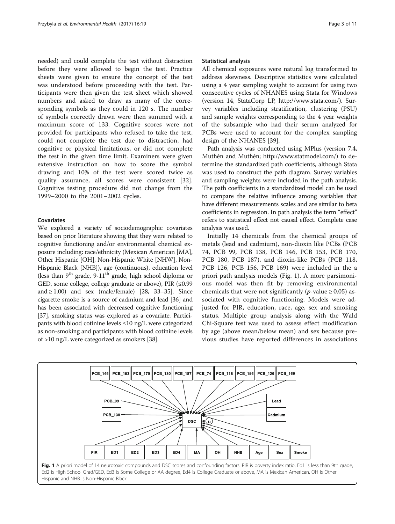needed) and could complete the test without distraction before they were allowed to begin the test. Practice sheets were given to ensure the concept of the test was understood before proceeding with the test. Participants were then given the test sheet which showed numbers and asked to draw as many of the corresponding symbols as they could in 120 s. The number of symbols correctly drawn were then summed with a maximum score of 133. Cognitive scores were not provided for participants who refused to take the test, could not complete the test due to distraction, had cognitive or physical limitations, or did not complete the test in the given time limit. Examiners were given extensive instruction on how to score the symbol drawing and 10% of the test were scored twice as quality assurance, all scores were consistent [\[32](#page-9-0)]. Cognitive testing procedure did not change from the 1999–2000 to the 2001–2002 cycles.

# Covariates

We explored a variety of sociodemographic covariates based on prior literature showing that they were related to cognitive functioning and/or environmental chemical exposure including: race/ethnicity (Mexican American [MA], Other Hispanic [OH], Non-Hispanic White [NHW], Non-Hispanic Black [NHB]), age (continuous), education level (less than  $9<sup>th</sup>$  grade,  $9-11<sup>th</sup>$  grade, high school diploma or GED, some college, college graduate or above), PIR (≤0.99 and  $\geq$  1.00) and sex (male/female) [\[28, 33](#page-9-0)–[35](#page-9-0)]. Since cigarette smoke is a source of cadmium and lead [\[36\]](#page-9-0) and has been associated with decreased cognitive functioning [[37](#page-9-0)], smoking status was explored as a covariate. Participants with blood cotinine levels ≤10 ng/L were categorized as non-smoking and participants with blood cotinine levels of >10 ng/L were categorized as smokers [[38](#page-9-0)].

#### Statistical analysis

All chemical exposures were natural log transformed to address skewness. Descriptive statistics were calculated using a 4 year sampling weight to account for using two consecutive cycles of NHANES using Stata for Windows (version 14, StataCorp LP,<http://www.stata.com/>). Survey variables including stratification, clustering (PSU) and sample weights corresponding to the 4 year weights of the subsample who had their serum analyzed for PCBs were used to account for the complex sampling design of the NHANES [[39\]](#page-9-0).

Path analysis was conducted using MPlus (version 7.4, Muthén and Muthén;<http://www.statmodel.com/>) to determine the standardized path coefficients, although Stata was used to construct the path diagram. Survey variables and sampling weights were included in the path analysis. The path coefficients in a standardized model can be used to compare the relative influence among variables that have different measurements scales and are similar to beta coefficients in regression. In path analysis the term "effect" refers to statistical effect not causal effect. Complete case analysis was used.

Initially 14 chemicals from the chemical groups of metals (lead and cadmium), non-dioxin like PCBs (PCB 74, PCB 99, PCB 138, PCB 146, PCB 153, PCB 170, PCB 180, PCB 187), and dioxin-like PCBs (PCB 118, PCB 126, PCB 156, PCB 169) were included in the a priori path analysis models (Fig. 1). A more parsimonious model was then fit by removing environmental chemicals that were not significantly (*p*-value  $\geq$  0.05) associated with cognitive functioning. Models were adjusted for PIR, education, race, age, sex and smoking status. Multiple group analysis along with the Wald Chi-Square test was used to assess effect modification by age (above mean/below mean) and sex because previous studies have reported differences in associations

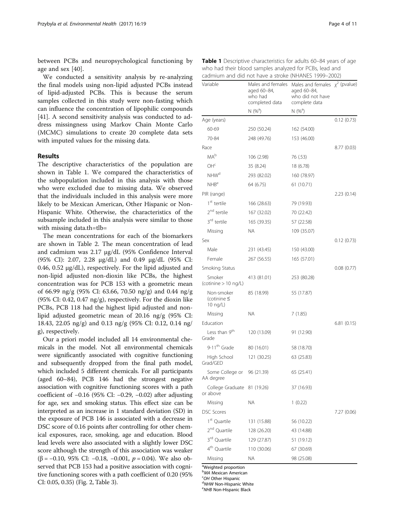between PCBs and neuropsychological functioning by age and sex [[40](#page-9-0)].

We conducted a sensitivity analysis by re-analyzing the final models using non-lipid adjusted PCBs instead of lipid-adjusted PCBs. This is because the serum samples collected in this study were non-fasting which can influence the concentration of lipophilic compounds [[41\]](#page-9-0). A second sensitivity analysis was conducted to address missingness using Markov Chain Monte Carlo (MCMC) simulations to create 20 complete data sets with imputed values for the missing data.

## Results

The descriptive characteristics of the population are shown in Table 1. We compared the characteristics of the subpopulation included in this analysis with those who were excluded due to missing data. We observed that the individuals included in this analysis were more likely to be Mexican American, Other Hispanic or Non-Hispanic White. Otherwise, the characteristics of the subsample included in this analysis were similar to those with missing data.th=tlb=

The mean concentrations for each of the biomarkers are shown in Table [2.](#page-4-0) The mean concentration of lead and cadmium was 2.17 μg/dL (95% Confidence Interval (95% CI): 2.07, 2.28 μg/dL) and 0.49 μg/dL (95% CI: 0.46, 0.52 μg/dL), respectively. For the lipid adjusted and non-lipid adjusted non-dioxin like PCBs, the highest concentration was for PCB 153 with a geometric mean of 66.99 ng/g (95% CI: 63.66, 70.50 ng/g) and 0.44 ng/g (95% CI: 0.42, 0.47  $ng/g$ ), respectively. For the dioxin like PCBs, PCB 118 had the highest lipid adjusted and nonlipid adjusted geometric mean of 20.16 ng/g (95% CI: 18.43, 22.05 ng/g) and 0.13 ng/g (95% CI: 0.12, 0.14 ng/ g), respectively.

Our a priori model included all 14 environmental chemicals in the model. Not all environmental chemicals were significantly associated with cognitive functioning and subsequently dropped from the final path model, which included 5 different chemicals. For all participants (aged 60–84), PCB 146 had the strongest negative association with cognitive functioning scores with a path coefficient of −0.16 (95% CI: −0.29, −0.02) after adjusting for age, sex and smoking status. This effect size can be interpreted as an increase in 1 standard deviation (SD) in the exposure of PCB 146 is associated with a decrease in DSC score of 0.16 points after controlling for other chemical exposures, race, smoking, age and education. Blood lead levels were also associated with a slightly lower DSC score although the strength of this association was weaker ( $\beta$  = −0.10, 95% CI: −0.18, −0.001,  $p$  = 0.04). We also observed that PCB 153 had a positive association with cognitive functioning scores with a path coefficient of 0.20 (95% CI: 0.05, 0.35) (Fig. [2](#page-4-0), Table [3\)](#page-5-0).

| Variable                                            | Males and females<br>aged 60–84,<br>who had<br>completed data | Males and females $\chi^2$ (pvalue)<br>aged 60-84,<br>who did not have<br>complete data |             |
|-----------------------------------------------------|---------------------------------------------------------------|-----------------------------------------------------------------------------------------|-------------|
|                                                     | $N(%^{a})$                                                    | $N(%^{a})$                                                                              |             |
| Age (years)                                         |                                                               |                                                                                         | 0.12(0.73)  |
| 60-69                                               | 250 (50.24)                                                   | 162 (54.00)                                                                             |             |
| 70-84                                               | 248 (49.76)                                                   | 153 (46.00)                                                                             |             |
| Race                                                |                                                               |                                                                                         | 8.77 (0.03) |
| MA <sub>b</sub>                                     | 106 (2.98)                                                    | 76 (.53)                                                                                |             |
| OH <sub>c</sub>                                     | 35 (8.24)                                                     | 18 (6.78)                                                                               |             |
| NHW <sup>d</sup>                                    | 293 (82.02)                                                   | 160 (78.97)                                                                             |             |
| NHB <sup>e</sup>                                    | 64 (6.75)                                                     | 61 (10.71)                                                                              |             |
| PIR (range)                                         |                                                               |                                                                                         | 2.23(0.14)  |
| 1 <sup>st</sup> tertile                             | 166 (28.63)                                                   | 79 (19.93)                                                                              |             |
| 2 <sup>nd</sup> tertile                             | 167 (32.02)                                                   | 70 (22.42)                                                                              |             |
| 3 <sup>rd</sup> tertile                             | 165 (39.35)                                                   | 57 (22.58)                                                                              |             |
| Missing                                             | ΝA                                                            | 109 (35.07)                                                                             |             |
| Sex                                                 |                                                               |                                                                                         | 0.12(0.73)  |
| Male                                                | 231 (43.45)                                                   | 150 (43.00)                                                                             |             |
| Female                                              | 267 (56.55)                                                   | 165 (57.01)                                                                             |             |
| Smoking Status                                      |                                                               |                                                                                         | 0.08(0.77)  |
| Smoker<br>(cotinine > 10 ng/L)                      | 413 (81.01)                                                   | 253 (80.28)                                                                             |             |
| Non-smoker<br>(cotinine $\leq$<br>$10 \text{ ng/L}$ | 85 (18.99)                                                    | 55 (17.87)                                                                              |             |
| Missing                                             | <b>NA</b>                                                     | 7(1.85)                                                                                 |             |
| Education                                           |                                                               |                                                                                         | 6.81(0.15)  |
| Less than 9 <sup>th</sup><br>Grade                  | 120 (13.09)                                                   | 91 (12.90)                                                                              |             |
| 9-11 <sup>th</sup> Grade                            | 80 (16.01)                                                    | 58 (18.70)                                                                              |             |
| High School<br>Grad/GED                             | 121 (30.25)                                                   | 63 (25.83)                                                                              |             |
| Some College or<br>AA degree                        | 96 (21.39)                                                    | 65 (25.41)                                                                              |             |
| College Graduate 81 (19.26)<br>or above             |                                                               | 37 (16.93)                                                                              |             |
| Missing                                             | ΝA                                                            | 1(0.22)                                                                                 |             |
| <b>DSC Scores</b>                                   |                                                               |                                                                                         | 7.27 (0.06) |
| 1 <sup>st</sup> Quartile                            | 131 (15.88)                                                   | 56 (10.22)                                                                              |             |
| 2 <sup>nd</sup> Quartile                            | 128 (26.20)                                                   | 43 (14.88)                                                                              |             |
| 3 <sup>rd</sup> Ouartile                            | 129 (27.87)                                                   | 51 (19.12)                                                                              |             |
| 4 <sup>th</sup> Quartile                            | 110 (30.06)                                                   | 67 (30.69)                                                                              |             |
| Missing                                             | ΝA                                                            | 98 (25.08)                                                                              |             |

Table 1 Descriptive characteristics for adults 60–84 years of age who had their blood samples analyzed for PCBs, lead and cadmium and did not have a stroke (NHANES 1999–2002)

aWeighted proportion

**BMA** Mexican American <sup>C</sup>OH Other Hispanic

<sup>d</sup>NHW Non-Hispanic White

<sup>e</sup>NHB Non-Hispanic Black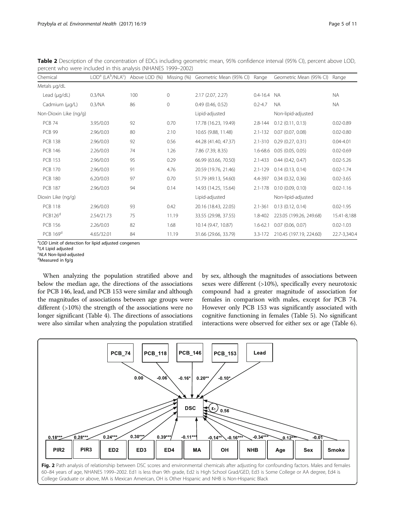| Chemical               |            |     |              | LOD <sup>a</sup> (LA <sup>b</sup> /NLA <sup>c</sup> ) Above LOD (%) Missing (%) Geometric Mean (95% CI) Range |              | Geometric Mean (95% CI) Range   |               |
|------------------------|------------|-----|--------------|---------------------------------------------------------------------------------------------------------------|--------------|---------------------------------|---------------|
| Metals µg/dL           |            |     |              |                                                                                                               |              |                                 |               |
| Lead $(\mu q/dL)$      | 0.3/NA     | 100 | $\Omega$     | 2.17(2.07, 2.27)                                                                                              | $0.4 - 16.4$ | - NA                            | <b>NA</b>     |
| Cadmium (µg/L)         | 0.3/NA     | 86  | $\mathbf{0}$ | $0.49$ (0.46, 0.52)                                                                                           | $0.2 - 4.7$  | <b>NA</b>                       | <b>NA</b>     |
| Non-Dioxin Like (ng/g) |            |     |              | Lipid-adjusted                                                                                                |              | Non-lipid-adjusted              |               |
| <b>PCB 74</b>          | 3.95/0.03  | 92  | 0.70         | 17.78 (16.23, 19.49)                                                                                          |              | $2.8 - 144$ 0.12 (0.11, 0.13)   | $0.02 - 0.89$ |
| <b>PCB 99</b>          | 2.96/0.03  | 80  | 2.10         | 10.65 (9.88, 11.48)                                                                                           |              | 2.1-132 0.07 (0.07, 0.08)       | $0.02 - 0.80$ |
| <b>PCB 138</b>         | 2.96/0.03  | 92  | 0.56         | 44.28 (41.40, 47.37)                                                                                          |              | 2.1-310 0.29 (0.27, 0.31)       | $0.04 - 4.01$ |
| <b>PCB 146</b>         | 2.26/0.03  | 74  | 1.26         | 7.86 (7.39, 8.35)                                                                                             |              | 1.6-68.6 0.05 (0.05, 0.05)      | $0.02 - 0.69$ |
| <b>PCB 153</b>         | 2.96/0.03  | 95  | 0.29         | 66.99 (63.66, 70.50)                                                                                          | $2.1 - 433$  | 0.44(0.42, 0.47)                | $0.02 - 5.26$ |
| <b>PCB 170</b>         | 2.96/0.03  | 91  | 4.76         | 20.59 (19.76, 21.46)                                                                                          | $2.1 - 129$  | 0.14(0.13, 0.14)                | $0.02 - 1.74$ |
| <b>PCB 180</b>         | 6.20/0.03  | 97  | 0.70         | 51.79 (49.13, 54.60)                                                                                          |              | 4.4-397 0.34 (0.32, 0.36)       | $0.02 - 3.65$ |
| <b>PCB 187</b>         | 2.96/0.03  | 94  | 0.14         | 14.93 (14.25, 15.64)                                                                                          |              | 2.1-178 0.10 (0.09, 0.10)       | $0.02 - 1.16$ |
| Dioxin Like (ng/g)     |            |     |              | Lipid-adjusted                                                                                                |              | Non-lipid-adjusted              |               |
| <b>PCB 118</b>         | 2.96/0.03  | 93  | 0.42         | 20.16 (18.43, 22.05)                                                                                          | $2.1 - 361$  | 0.13(0.12, 0.14)                | $0.02 - 1.95$ |
| PCB126 <sup>d</sup>    | 2.54/21.73 | 75  | 11.19        | 33.55 (29.98, 37.55)                                                                                          |              | 1.8-402 223.05 (199.26, 249.68) | 15.41-8,188   |
| <b>PCB 156</b>         | 2.26/0.03  | 82  | 1.68         | 10.14 (9.47, 10.87)                                                                                           |              | 1.6-62.1 0.07 (0.06, 0.07)      | $0.02 - 1.03$ |
| PCB 169 <sup>d</sup>   | 4.65/32.01 | 84  | 11.19        | 31.66 (29.66, 33.79)                                                                                          |              | 3.3-172 210.45 (197.19, 224.60) | 22.7-3,340.4  |

<span id="page-4-0"></span>Table 2 Description of the concentration of EDCs including geometric mean, 95% confidence interval (95% CI), percent above LOD, percent who were included in this analysis (NHANES 1999–2002)

<sup>a</sup>LOD Limit of detection for lipid adjusted congeners<br><sup>b</sup>LA Lipid adjusted

<sup>b</sup>LA Lipid adjusted

 $C$ NLA Non-lipid-adjusted

Measured in fg/g

When analyzing the population stratified above and below the median age, the directions of the associations for PCB 146, lead, and PCB 153 were similar and although the magnitudes of associations between age groups were different (>10%) the strength of the associations were no longer significant (Table [4](#page-6-0)). The directions of associations were also similar when analyzing the population stratified

by sex, although the magnitudes of associations between sexes were different (>10%), specifically every neurotoxic compound had a greater magnitude of association for females in comparison with males, except for PCB 74. However only PCB 153 was significantly associated with cognitive functioning in females (Table [5\)](#page-7-0). No significant interactions were observed for either sex or age (Table [6](#page-8-0)).

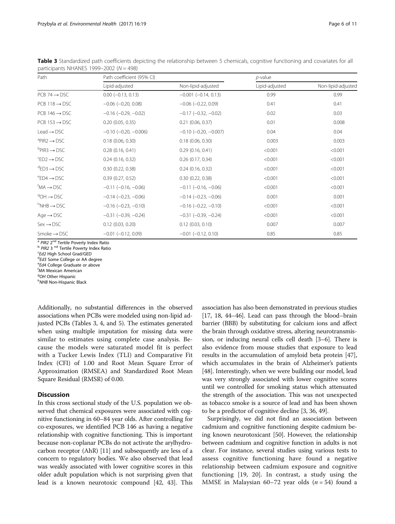| Path                                         | Path coefficient (95% CI)      |                           | $p$ -value     |                    |  |
|----------------------------------------------|--------------------------------|---------------------------|----------------|--------------------|--|
|                                              | Lipid-adjusted                 | Non-lipid-adjusted        | Lipid-adjusted | Non-lipid-adjusted |  |
| $PCB$ 74 $\rightarrow$ DSC                   | $0.00 (-0.13, 0.13)$           | $-0.001$ $(-0.14, 0.13)$  | 0.99           | 0.99               |  |
| $PCB$ 118 $\rightarrow$ DSC                  | $-0.06$ $(-0.20, 0.08)$        | $-0.06$ $(-0.22, 0.09)$   | 0.41           | 0.41               |  |
| $PCB$ 146 $\rightarrow$ DSC                  | $-0.16$ $(-0.29, -0.02)$       | $-0.17$ $(-0.32, -0.02)$  | 0.02           | 0.03               |  |
| $PCB$ 153 $\rightarrow$ DSC                  | 0.20(0.05, 0.35)               | $0.21$ (0.06, 0.37)       | 0.01           | 0.008              |  |
| Lead $\rightarrow$ DSC                       | $-0.10$ ( $-0.20$ , $-0.006$ ) | $-0.10$ $(-0.20, -0.007)$ | 0.04           | 0.04               |  |
| $\textsuperscript{a}$ PIR2 $\rightarrow$ DSC | $0.18$ (0.06, 0.30)            | $0.18$ $(0.06, 0.30)$     | 0.003          | 0.003              |  |
| ${}^{\rm b}$ PIR3 $\rightarrow$ DSC          | 0.28(0.16, 0.41)               | 0.29(0.16, 0.41)          | < 0.001        | < 0.001            |  |
| $E$ D2 $\rightarrow$ DSC                     | $0.24$ (0.16, 0.32)            | $0.26$ $(0.17, 0.34)$     | < 0.001        | < 0.001            |  |
| $\mathrm{^0ED3}\rightarrow\mathrm{DSC}$      | 0.30(0.22, 0.38)               | $0.24$ $(0.16, 0.32)$     | < 0.001        | < 0.001            |  |
| $\mathrm{e}$ ED4 $\rightarrow$ DSC           | 0.39(0.27, 0.52)               | $0.30$ $(0.22, 0.38)$     | < 0.001        | < 0.001            |  |
| $^{\dagger}$ MA $\rightarrow$ DSC            | $-0.11$ $(-0.16, -0.06)$       | $-0.11$ $(-0.16, -0.06)$  | < 0.001        | < 0.001            |  |
| $9OH \rightarrow DSC$                        | $-0.14$ $(-0.23, -0.06)$       | $-0.14$ $(-0.23, -0.06)$  | 0.001          | 0.001              |  |
| $h$ NHB $\rightarrow$ DSC                    | $-0.16$ $(-0.23, -0.10)$       | $-0.16$ $(-0.22, -0.10)$  | < 0.001        | < 0.001            |  |
| Age $\rightarrow$ DSC                        | $-0.31$ $(-0.39, -0.24)$       | $-0.31$ $(-0.39, -0.24)$  | < 0.001        | < 0.001            |  |
| $Sex \rightarrow DSC$                        | $0.12$ $(0.03, 0.20)$          | $0.12$ $(0.03, 0.10)$     | 0.007          | 0.007              |  |
| Smoke $\rightarrow$ DSC                      | $-0.01$ $(-0.12, 0.09)$        | $-0.01$ $(-0.12, 0.10)$   | 0.85           | 0.85               |  |

<span id="page-5-0"></span>Table 3 Standardized path coefficients depicting the relationship between 5 chemicals, cognitive functioning and covariates for all participants NHANES 1999-2002  $(N = 498)$ 

<sup>a</sup> PIR2 2<sup>nd</sup> Tertile Poverty Index Ratio **b** PIR2 3 <sup>nd</sup> Tertile Poverty Index Ratio

**Ed2 High School Grad/GED** 

<sup>d</sup>Ed3 Some College or AA degree

<sup>e</sup>Ed4 College Graduate or above

fMA Mexican American

<sup>9</sup>OH Other Hispanic

<sup>h</sup>NHB Non-Hispanic Black

Additionally, no substantial differences in the observed associations when PCBs were modeled using non-lipid adjusted PCBs (Tables 3, [4](#page-6-0), and [5\)](#page-7-0). The estimates generated when using multiple imputation for missing data were similar to estimates using complete case analysis. Because the models were saturated model fit is perfect with a Tucker Lewis Index (TLI) and Comparative Fit Index (CFI) of 1.00 and Root Mean Square Error of Approximation (RMSEA) and Standardized Root Mean Square Residual (RMSR) of 0.00.

# **Discussion**

In this cross sectional study of the U.S. population we observed that chemical exposures were associated with cognitive functioning in 60–84 year olds. After controlling for co-exposures, we identified PCB 146 as having a negative relationship with cognitive functioning. This is important because non-coplanar PCBs do not activate the arylhydrocarbon receptor (AhR) [\[11\]](#page-9-0) and subsequently are less of a concern to regulatory bodies. We also observed that lead was weakly associated with lower cognitive scores in this older adult population which is not surprising given that lead is a known neurotoxic compound [[42](#page-9-0), [43\]](#page-9-0). This

association has also been demonstrated in previous studies [[17](#page-9-0), [18](#page-9-0), [44](#page-9-0)–[46\]](#page-9-0). Lead can pass through the blood–brain barrier (BBB) by substituting for calcium ions and affect the brain through oxidative stress, altering neurotransmission, or inducing neural cells cell death [\[3](#page-9-0)–[6\]](#page-9-0). There is also evidence from mouse studies that exposure to lead results in the accumulation of amyloid beta protein [[47](#page-9-0)], which accumulates in the brain of Alzheimer's patients [[48](#page-10-0)]. Interestingly, when we were building our model, lead was very strongly associated with lower cognitive scores until we controlled for smoking status which attenuated the strength of the association. This was not unexpected as tobacco smoke is a source of lead and has been shown to be a predictor of cognitive decline [[3, 36](#page-9-0), [49](#page-10-0)].

Surprisingly, we did not find an association between cadmium and cognitive functioning despite cadmium being known neurotoxicant [\[50\]](#page-10-0). However, the relationship between cadmium and cognitive function in adults is not clear. For instance, several studies using various tests to assess cognitive functioning have found a negative relationship between cadmium exposure and cognitive functioning [[19, 20](#page-9-0)]. In contrast, a study using the MMSE in Malaysian 60–72 year olds  $(n = 54)$  found a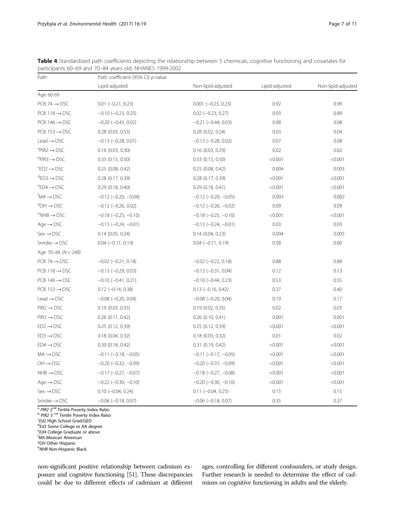Age 60-69

| Table 4 Standardized path coefficients depicting the relationship between 5 chemicals, cognitive functioning and covariates for<br>participants 60-69 and 70-84 years old, NHANES 1999-2002 |                                   |                               |                |                    |  |  |
|---------------------------------------------------------------------------------------------------------------------------------------------------------------------------------------------|-----------------------------------|-------------------------------|----------------|--------------------|--|--|
| Path                                                                                                                                                                                        | Path coefficient (95% CI) p-value |                               |                |                    |  |  |
|                                                                                                                                                                                             | Lipid-adjusted                    | Non-lipid-adjusted            | Lipid-adjusted | Non-lipid-adjusted |  |  |
| Age 60-69                                                                                                                                                                                   |                                   |                               |                |                    |  |  |
| PCB 74 $\rightarrow$ DSC                                                                                                                                                                    | $0.01$ $(-0.21, 0.23)$            | $0.001 (-0.23, 0.23)$         | 0.92           | 0.99               |  |  |
| PCB 118 $\rightarrow$ DSC                                                                                                                                                                   | $-0.10$ $(-0.23, 0.25)$           | $0.02$ (-0.23, 0.27)          | 0.93           | 0.89               |  |  |
| PCB 146 $\rightarrow$ DSC                                                                                                                                                                   | $-0.20$ $(-0.43, 0.02)$           | $-0.21$ $(-0.44, 0.03)$       | 0.08           | 0.08               |  |  |
| PCB $153 \rightarrow DSC$                                                                                                                                                                   | 0.28(0.03, 0.53)                  | 0.28(0.02, 0.54)              | 0.03           | 0.04               |  |  |
| Lead $\rightarrow$ DSC                                                                                                                                                                      | $-0.13$ $(-0.28, 0.01)$           | $-0.13$ $(-0.28, 0.02)$       | 0.07           | 0.08               |  |  |
| ªPIR2 → DSC                                                                                                                                                                                 | $0.16$ $(0.03, 0.30)$             | 0.16(0.03, 0.29)              | 0.02           | 0.02               |  |  |
| <sup>b</sup> PIR3 → DSC                                                                                                                                                                     | $0.33$ $(0.15, 0.50)$             | $0.33$ $(0.15, 0.50)$         | < 0.001        | < 0.001            |  |  |
| $\text{F}$ D2 $\rightarrow$ DSC                                                                                                                                                             | 0.25(0.08, 0.42)                  | 0.25(0.08, 0.42)              | 0.004          | 0.003              |  |  |
| $\mathrm{^{d}ED3}\rightarrow\mathrm{DSC}$                                                                                                                                                   | 0.28(0.17, 0.39)                  | 0.28(0.17, 0.39)              | < 0.001        | < 0.001            |  |  |
| $\mathrm{e}$ ED4 $\rightarrow$ DSC                                                                                                                                                          | 0.29(0.18, 0.40)                  | 0.29(0.18, 0.41)              | < 0.001        | < 0.001            |  |  |
| $fMA \rightarrow \text{DSC}$                                                                                                                                                                | $-0.12$ ( $-0.20$ , $-0.04$ )     | $-0.12$ ( $-0.20$ , $-0.05$ ) | 0.003          | 0.002              |  |  |
| $9OH \rightarrow DSC$                                                                                                                                                                       | $-0.12$ $(-0.26, 0.02)$           | $-0.12$ ( $-0.26$ , $-0.02$ ) | 0.09           | 0.09               |  |  |
| $h$ NHB $\rightarrow$ DSC                                                                                                                                                                   | $-0.18$ $(-0.25, -0.10)$          | $-0.18$ $(-0.25, -0.10)$      | < 0.001        | < 0.001            |  |  |
| Age $\rightarrow$ DSC                                                                                                                                                                       | $-0.13$ $(-0.24, -0.01)$          | $-0.13$ $(-0.24, -0.01)$      | 0.03           | 0.03               |  |  |
| $Sex \rightarrow DSC$                                                                                                                                                                       | $0.14$ (0.05, 0.24)               | 0.14(0.04, 0.23)              | 0.004          | 0.005              |  |  |
| Smoke $\rightarrow$ DSC                                                                                                                                                                     | $0.04 (-0.11, 0.19)$              | $0.04 (-0.11, 0.19)$          | 0.58           | 0.60               |  |  |
| Age 70-84 (N = 248)                                                                                                                                                                         |                                   |                               |                |                    |  |  |
| PCB 74 $\rightarrow$ DSC                                                                                                                                                                    | $-0.02$ $(-0.21, 0.18)$           | $-0.02$ $(-0.22, 0.18)$       | 0.88           | 0.88               |  |  |
| PCB 118 $\rightarrow$ DSC                                                                                                                                                                   | $-0.13$ $(-0.29, 0.03)$           | $-0.13$ $(-0.31, 0.04)$       | 0.12           | 0.13               |  |  |

<span id="page-6-0"></span>Table 4 Standardized participants 60–69

PCB 146 → DSC −0.10 (−0.41, 0.21) −0.10 (−0.44, 0.23) 0.55 0.55 0.55 PCB 153 → DSC 0.12 (−0.14, 0.38) 0.13 (−0.16, 0.42) 0.37 0.40 Lead → DSC −0.08 (−0.20, 0.04) −0.08 (−0.20, 0.04) 0.17 0.17  $PIR2 \rightarrow DSC$  0.19 (0.03, 0.35) 0.03 0.03 0.03 0.03 0.03 0.03 PIR3 → DSC 0.26 (0.11, 0.42) 0.26 (0.10, 0.41) 0.001 0.001 0.001 0.001  $ED2 \rightarrow DSC$  0.25 (0.12, 0.39) 0.25 (0.12, 0.39) <0.001 <0.001 <0.001 ED3 → DSC 0.04, 0.32) 0.02 0.18 (0.04, 0.32) 0.18 (0.03, 0.32) 0.01 0.02  $ED4 \rightarrow DSC$  0.30 (0.18, 0.42) 0.31 (0.19, 0.42)  $0.31 \quad (0.19, 0.42)$   $0.001$   $0.001$ MA → DSC -0.11 (-0.18, -0.05) -0.11 (-0.17, -0.05) <0.001 <0.001 <0.001 OH → DSC −0.20 (−0.32, −0.09) −0.20 (−0.31, −0.09) <0.001 <0.001 <0.001 NHB → DSC  $-0.17 (-0.27, -0.07)$   $-0.18 (-0.27, -0.08)$  <0.001 <0.001 <0.001 Age → DSC −0.22 (−0.30, −0.10) −0.20 (−0.30, −0.10) <0.001 <0.001 <0.001 Sex → DSC 0.10 (-0.04, 0.24) 0.11 (-0.04, 0.25) 0.15 0.15 0.15 0.15 Smoke → DSC −0.06 (−0.18, 0.07) −0.06 (−0.18, 0.07) 0.35 0.37 0.37

 $\frac{a}{p}$  PIR2 2<sup>nd</sup> Tertile Poverty Index Ratio b PIR2 3<sup>nd</sup> Tertile Poverty Index Ratio

 $c$ Ed2 High School Grad/GED

<sup>d</sup>Ed3 Some College or AA degree

<sup>e</sup>Ed4 College Graduate or above

fMA Mexican American

<sup>9</sup>OH Other Hispanic

h<sub>NHB</sub> Non-Hispanic Black

non-significant positive relationship between cadmium exposure and cognitive functioning [\[51\]](#page-10-0). These discrepancies could be due to different effects of cadmium at different ages, controlling for different confounders, or study design. Further research is needed to determine the effect of cadmium on cognitive functioning in adults and the elderly.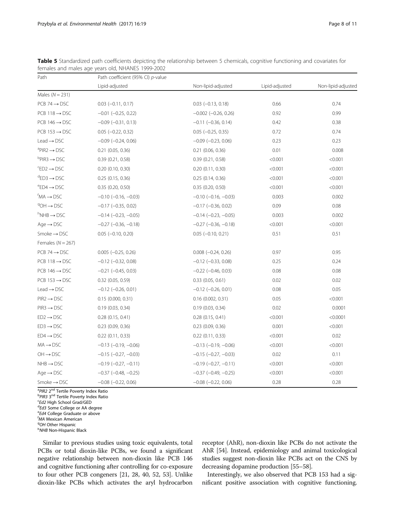| Path                                 | Path coefficient (95% CI) p-value |                               |                |                    |  |
|--------------------------------------|-----------------------------------|-------------------------------|----------------|--------------------|--|
|                                      | Lipid-adjusted                    | Non-lipid-adjusted            | Lipid-adjusted | Non-lipid-adjusted |  |
| Males ( $N = 231$ )                  |                                   |                               |                |                    |  |
| $PCB$ 74 $\rightarrow$ DSC           | $0.03$ ( $-0.11$ , $0.17$ )       | $0.03$ ( $-0.13$ , $0.18$ )   | 0.66           | 0.74               |  |
| $PCB$ 118 $\rightarrow$ DSC          | $-0.01$ $(-0.25, 0.22)$           | $-0.002$ $(-0.26, 0.26)$      | 0.92           | 0.99               |  |
| $PCB 146 \rightarrow DSC$            | $-0.09$ $(-0.31, 0.13)$           | $-0.11$ $(-0.36, 0.14)$       | 0.42           | 0.38               |  |
| $PCB$ 153 $\rightarrow$ DSC          | $0.05$ ( $-0.22$ , 0.32)          | $0.05$ ( $-0.25$ , 0.35)      | 0.72           | 0.74               |  |
| Lead $\rightarrow$ DSC               | $-0.09$ $(-0.24, 0.06)$           | $-0.09$ $(-0.23, 0.06)$       | 0.23           | 0.23               |  |
| ${}^{a}$ PIR2 $\rightarrow$ DSC      | $0.21$ (0.05, 0.36)               | $0.21$ (0.06, 0.36)           | 0.01           | 0.008              |  |
| ${}^{\rm b}$ PIR3 $\rightarrow$ DSC  | 0.39(0.21, 0.58)                  | 0.39(0.21, 0.58)              | < 0.001        | < 0.001            |  |
| $E$ D2 $\rightarrow$ DSC             | $0.20$ $(0.10, 0.30)$             | $0.20$ $(0.11, 0.30)$         | < 0.001        | < 0.001            |  |
| $^{\circ}$ ED3 $\rightarrow$ DSC     | $0.25$ (0.15, 0.36)               | 0.25(0.14, 0.36)              | < 0.001        | < 0.001            |  |
| $\text{PED4} \rightarrow \text{DSC}$ | 0.35(0.20, 0.50)                  | 0.35(0.20, 0.50)              | < 0.001        | < 0.001            |  |
| ${}^f$ MA $\rightarrow$ DSC          | $-0.10$ ( $-0.16$ , $-0.03$ )     | $-0.10$ ( $-0.16$ , $-0.03$ ) | 0.003          | 0.002              |  |
| $9OH \rightarrow DSC$                | $-0.17$ $(-0.35, 0.02)$           | $-0.17$ $(-0.36, 0.02)$       | 0.09           | 0.08               |  |
| $h$ NHB $\rightarrow$ DSC            | $-0.14 (-0.23, -0.05)$            | $-0.14$ $(-0.23, -0.05)$      | 0.003          | 0.002              |  |
| $Age \rightarrow DSC$                | $-0.27$ ( $-0.36$ , $-0.18$ )     | $-0.27$ ( $-0.36$ , $-0.18$ ) | < 0.001        | < 0.001            |  |
| Smoke $\rightarrow$ DSC              | $0.05$ $(-0.10, 0.20)$            | $0.05$ (-0.10, 0.21)          | 0.51           | 0.51               |  |
| Females ( $N = 267$ )                |                                   |                               |                |                    |  |
| $PCB$ 74 $\rightarrow$ DSC           | $0.005 (-0.25, 0.26)$             | $0.008 (-0.24, 0.26)$         | 0.97           | 0.95               |  |
| $PCB$ 118 $\rightarrow$ DSC          | $-0.12$ $(-0.32, 0.08)$           | $-0.12$ $(-0.33, 0.08)$       | 0.25           | 0.24               |  |
| $PCB$ 146 $\rightarrow$ DSC          | $-0.21$ $(-0.45, 0.03)$           | $-0.22$ $(-0.46, 0.03)$       | 0.08           | 0.08               |  |
| $PCB$ 153 $\rightarrow$ DSC          | $0.32$ (0.05, 0.59)               | $0.33$ $(0.05, 0.61)$         | 0.02           | 0.02               |  |
| $\text{lead} \rightarrow \text{DSC}$ | $-0.12$ $(-0.26, 0.01)$           | $-0.12$ $(-0.26, 0.01)$       | 0.08           | 0.05               |  |
| $PIR2 \rightarrow DSC$               | 0.15(0.000, 0.31)                 | $0.16$ (0.002, 0.31)          | 0.05           | < 0.001            |  |
| $PIR3 \rightarrow DSC$               | 0.19(0.03, 0.34)                  | 0.19(0.03, 0.34)              | 0.02           | 0.0001             |  |
| $ED2 \rightarrow DSC$                | $0.28$ (0.15, 0.41)               | $0.28$ $(0.15, 0.41)$         | < 0.001        | < 0.0001           |  |
| $ED3 \rightarrow DSC$                | $0.23$ $(0.09, 0.36)$             | $0.23$ $(0.09, 0.36)$         | 0.001          | < 0.001            |  |
| $ED4 \rightarrow DSC$                | $0.22$ $(0.11, 0.33)$             | $0.22$ $(0.11, 0.33)$         | < 0.001        | 0.02               |  |
| $MA \rightarrow DSC$                 | $-0.13$ ( $-0.19$ , $-0.06$ )     | $-0.13$ $(-0.19, -0.06)$      | < 0.001        | < 0.001            |  |
| $OH \rightarrow DSC$                 | $-0.15$ ( $-0.27, -0.03$ )        | $-0.15$ ( $-0.27$ , $-0.03$ ) | 0.02           | 0.11               |  |
| $NHB \rightarrow DSC$                | $-0.19$ $(-0.27, -0.11)$          | $-0.19$ $(-0.27, -0.11)$      | < 0.001        | < 0.001            |  |
| $Age \rightarrow DSC$                | $-0.37$ $(-0.48, -0.25)$          | $-0.37$ $(-0.49, -0.25)$      | < 0.001        | < 0.001            |  |
| $Smoke \rightarrow DSC$              | $-0.08$ $(-0.22, 0.06)$           | $-0.08$ $(-0.22, 0.06)$       | 0.28           | 0.28               |  |

<span id="page-7-0"></span>Table 5 Standardized path coefficients depicting the relationship between 5 chemicals, cognitive functioning and covariates for females and males age years old, NHANES 1999-2002

<sup>a</sup>PIR2 2<sup>nd</sup> Tertile Poverty Index Ratio<br><sup>b</sup>PIR3 3<sup>nd</sup> Tertile Poverty Index Ratio <sup>b</sup>PIR3 3<sup>nd</sup> Tertile Poverty Index Ratio<br><sup>c</sup>Ed2 High School Grad/GED <sup>c</sup>Ed2 High School Grad/GED <sup>d</sup>Ed3 Some College or AA degree <sup>e</sup>Ed4 College Graduate or above fMA Mexican American  $9$ OH Other Hispanic hNHB Non-Hispanic Black

Similar to previous studies using toxic equivalents, total PCBs or total dioxin-like PCBs, we found a significant negative relationship between non-dioxin like PCB 146 and cognitive functioning after controlling for co-exposure to four other PCB congeners [\[21, 28](#page-9-0), [40,](#page-9-0) [52, 53](#page-10-0)]. Unlike dioxin-like PCBs which activates the aryl hydrocarbon receptor (AhR), non-dioxin like PCBs do not activate the AhR [[54](#page-10-0)]. Instead, epidemiology and animal toxicological studies suggest non-dioxin like PCBs act on the CNS by decreasing dopamine production [\[55](#page-10-0)–[58](#page-10-0)].

Interestingly, we also observed that PCB 153 had a significant positive association with cognitive functioning.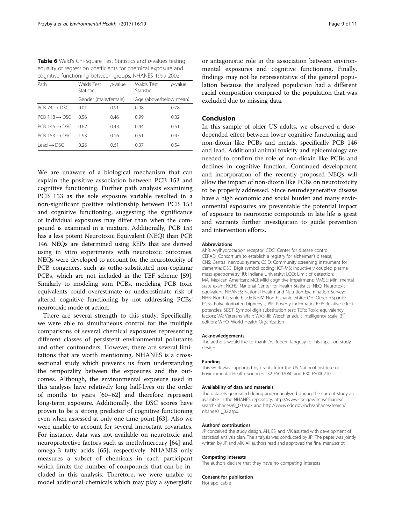<span id="page-8-0"></span>Table 6 Wald's Chi-Square Test Statistics and p-values testing equality of regression coefficients for chemical exposure and cognitive functioning between groups, NHANES 1999-2002

| Path                        | Walds Test<br>Statistic | p-value | Walds Test<br>Statistic | p-value |
|-----------------------------|-------------------------|---------|-------------------------|---------|
|                             | Gender (male/female)    |         | Age (above/below mean)  |         |
| $PCB$ 74 $\rightarrow$ DSC. | 001                     | 0.91    | 0.08                    | 0.78    |
| $PCB 118 \rightarrow DSC$   | 0.56                    | 0.46    | 0.99                    | 0.32    |
| $PCR~146 \rightarrow DSC$   | 062                     | 0.43    | 0.44                    | 0.51    |
| $PCR 153 \rightarrow DSC$   | 193                     | 0.16    | O 51                    | 0.47    |
| $I$ ead $\rightarrow$ DSC   | 026                     | 0.61    | 0.37                    | 0.54    |

We are unaware of a biological mechanism that can explain the positive association between PCB 153 and cognitive functioning. Further path analysis examining PCB 153 as the sole exposure variable resulted in a non-significant positive relationship between PCB 153 and cognitive functioning, suggesting the significance of individual exposures may differ than when the compound is examined in a mixture. Additionally, PCB 153 has a less potent Neurotoxic Equivalent (NEQ) than PCB 146. NEQs are determined using REPs that are derived using in vitro experiments with neurotoxic outcomes. NEQs were developed to account for the neurotoxicity of PCB congeners, such as ortho-substituted non-coplanar PCBs, which are not included in the TEF scheme [[59](#page-10-0)]. Similarly to modeling sum PCBs, modeling PCB toxic equivalents could overestimate or underestimate risk of altered cognitive functioning by not addressing PCBs' neurotoxic mode of action.

There are several strength to this study. Specifically, we were able to simultaneous control for the multiple comparisons of several chemical exposures representing different classes of persistent environmental pollutants and other confounders. However, there are several limitations that are worth mentioning. NHANES is a crosssectional study which prevents us from understanding the temporality between the exposures and the outcomes. Although, the environmental exposure used in this analysis have relatively long half-lives on the order of months to years [[60](#page-10-0)–[62](#page-10-0)] and therefore represent long-term exposure. Additionally, the DSC scores have proven to be a strong predictor of cognitive functioning even when assessed at only one time point [\[63](#page-10-0)]. Also we were unable to account for several important covariates. For instance, data was not available on neurotoxic and neuroprotective factors such as methylmercury [[64\]](#page-10-0) and omega-3 fatty acids [[65\]](#page-10-0), respectively. NHANES only measures a subset of chemicals in each participant which limits the number of compounds that can be included in this analysis. Therefore, we were unable to model additional chemicals which may play a synergistic

or antagonistic role in the association between environmental exposures and cognitive functioning. Finally, findings may not be representative of the general population because the analyzed population had a different racial composition compared to the population that was excluded due to missing data.

# Conclusion

In this sample of older US adults, we observed a dosedepended effect between lower cognitive functioning and non-dioxin like PCBs and metals, specifically PCB 146 and lead. Additional animal toxicity and epidemiology are needed to confirm the role of non-dioxin like PCBs and declines in cognitive function. Continued development and incorporation of the recently proposed NEQs will allow the impact of non-dioxin like PCBs on neurotoxicity to be properly addressed. Since neurodegenerative disease have a high economic and social burden and many environmental exposures are preventable the potential impact of exposure to neurotoxic compounds in late life is great and warrants further investigation to guide prevention and intervention efforts.

#### Abbreviations

AhR: Arylhydrocarbon receptor; CDC: Center for disease control; CERAD: Consortium to establish a registry for alzheimer's disease; CNS: Central nervous system; CSID: Community screening instrument for dementia; DSC: Digit symbol coding; ICP-MS: Inductively coupled plasma mass spectrometry; IU: Indiana University; LOD: Limit of detection; MA: Mexican American; MCI: Mild cognitive impairment; MMSE: Mini mental state exam; NCHS: National Center for Health Statistics; NEQ: Neurotoxic equivalent; NHANES: National Health and Nutrition Examination Survey; NHB: Non-hispanic black; NHW: Non-hispanic white; OH: Other hispanic; PCBs: Polychlorinated biphenyls; PIR: Poverty index ratio; REP: Relative effect potencies; SDST: Symbol digit substitution test; TEFs: Toxic equivalency factors; VA: Veterans affair; WASI-III: Weschler adult intelligence scale, 3<sup>rd</sup> edition; WHO: World Health Organization

#### Acknowledgements

The authors would like to thank Dr. Robert Tanguay for his input on study design.

#### Funding

This work was supported by grants from the US National Institute of Environmental Health Sciences T32 ES007060 and P30 ES000210.

#### Availability of data and materials

The datasets generated during and/or analyzed during the current study are available in the NHANES repository, [http://www.cdc.gov/nchs/nhanes/](http://www.cdc.gov/nchs/nhanes/search/nhanes99_00.aspx) [search/nhanes99\\_00.aspx](http://www.cdc.gov/nchs/nhanes/search/nhanes99_00.aspx) and [http://www.cdc.gov/nchs/nhanes/search/](http://www.cdc.gov/nchs/nhanes/search/nhanes01_02.aspx) [nhanes01\\_02.aspx](http://www.cdc.gov/nchs/nhanes/search/nhanes01_02.aspx).

#### Authors' contributions

JP conceived the study design. AH, ES, and MK assisted with development of statistical analysis plan. The analysis was conducted by JP. The paper was jointly written by JP and MK. All authors read and approved the final manuscript.

#### Competing interests

The authors declare that they have no competing interests

#### Consent for publication

Not applicable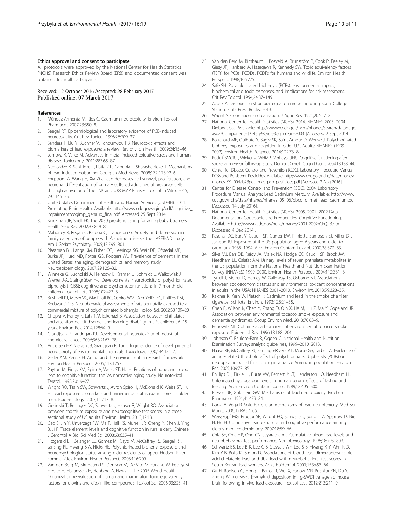## <span id="page-9-0"></span>Ethics approval and consent to participate

All protocols were approved by the National Center for Health Statistics (NCHS) Research Ethics Review Board (ERB) and documented consent was obtained from all participants.

### Received: 12 October 2016 Accepted: 28 February 2017 Published online: 07 March 2017

#### References

- 1. Méndez-Armenta M, Ríos C. Cadmium neurotoxicity. Environ Toxicol Pharmacol. 2007;23:350–8.
- Seegal RF. Epidemiological and laboratory evidence of PCB-lnduced neurotoxicity. Crit Rev Toxicol. 1996;26:709–37.
- 3. Sanders T, Liu Y, Buchner V, Tchounwou PB. Neurotoxic effects and biomarkers of lead exposure: a review. Rev Environ Health. 2009;24:15–46.
- 4. Jomova K, Valko M. Advances in metal-induced oxidative stress and human disease. Toxicology. 2011;283:65–87.
- 5. Nemsadze K, Sanikidze T, Ratiani L, Gabunia L, Sharashenidze T. Mechanisms of lead-induced poisoning. Georgian Med News. 2008;172-173:92–6.
- 6. Engstrom A, Wang H, Xia ZG. Lead decreases cell survival, proliferation, and neuronal differentiation of primary cultured adult neural precursor cells through activation of the JNK and p38 MAP kinases. Toxicol in Vitro. 2015; 29:1146–55.
- 7. United States Department of Health and Human Services (USDHH). 2011. Promoting Brain Health. Available: [http://www.cdc.gov/aging/pdf/cognitive\\_](http://www.cdc.gov/aging/pdf/cognitive_impairment/cogimp_genaud_final.pdf) [impairment/cogimp\\_genaud\\_final.pdf.](http://www.cdc.gov/aging/pdf/cognitive_impairment/cogimp_genaud_final.pdf) Accessed 25 Sept 2014.
- 8. Knickman JR, Snell EK. The 2030 problem: caring for aging baby boomers. Health Serv Res. 2002;37:849–84.
- 9. Mahoney R, Regan C, Katona C, Livingston G. Anxiety and depression in family caregivers of people with Alzheimer disease: the LASER-AD study. Am J Geriatr Psychiatry. 2005;13:795–801.
- 10. Plassman BL, Langa KM, Fisher GG, Heeringa SG, Weir DR, Ofstedal MB, Burke JR, Hurd MD, Potter GG, Rodgers WL. Prevalence of dementia in the United States: the aging, demographics, and memory study. Neuroepidemiology. 2007;29:125–32.
- 11. Winneke G, Bucholski A, Heinzow B, Krämer U, Schmidt E, Walkowiak J, Wiener J-A, Steingrüber H-J. Developmental neurotoxicity of polychlorinated biphenyls (PCBS): cognitive and psychomotor functions in 7-month old children. Toxicol Lett. 1998;102:423–8.
- 12. Bushnell PJ, Moser VC, MacPhail RC, Oshiro WM, Derr-Yellin EC, Phillips PM, Kodavanti PRS. Neurobehavioral assessments of rats perinatally exposed to a commercial mixture of polychlorinated biphenyls. Toxicol Sci. 2002;68:109–20.
- 13. Chopra V, Harley K, Lahiff M, Eskenazi B. Association between phthalates and attention deficit disorder and learning disability in U.S. children, 6–15 years. Environ Res. 2014;128:64–9.
- 14. Grandjean P, Landrigan PJ. Developmental neurotoxicity of industrial chemicals. Lancet. 2006;368:2167–78.
- 15. Andersen HR, Nielsen JB, Grandjean P. Toxicologic evidence of developmental neurotoxicity of environmental chemicals. Toxicology. 2000;144:121–7.
- 16. Geller AM, Zenick H. Aging and the environment: a research framework. Environ Health Perspect. 2005;113:1257.
- 17. Payton M, Riggs KM, Spiro A, Weiss ST, Hu H. Relations of bone and blood lead to cognitive function: the VA normative aging study. Neurotoxicol Teratol. 1998;20:19–27.
- 18. Wright RO, Tsaih SW, Schwartz J, Avron Spiro III, McDonald K, Weiss ST, Hu H. Lead exposure biomarkers and mini-mental status exam scores in older men. Epidemiology. 2003;14:713–8.
- 19. Ciesielski T, Bellinger DC, Schwartz J, Hauser R, Wright RO. Associations between cadmium exposure and neurocognitive test scores in a crosssectional study of US adults. Environ Health. 2013;12:13.
- 20. Gao S, Jin Y, Unverzagt FW, Ma F, Hall KS, Murrell JR, Cheng Y, Shen J, Ying B, Ji R. Trace element levels and cognitive function in rural elderly Chinese. J Gerontol A Biol Sci Med Sci. 2008;63:635–41.
- 21. Fitzgerald EF, Belanger EE, Gomez MI, Cayo M, McCaffrey RJ, Seegal RF, Jansing RL, Hwang S-A, Hicks HE. Polychlorinated biphenyl exposure and neuropsychological status among older residents of upper Hudson River communities. Environ Health Perspect. 2008;116:209.
- 22. Van den Berg M, Birnbaum LS, Denison M, De Vito M, Farland W, Feeley M, Fiedler H, Hakansson H, Hanberg A, Haws L. The 2005 World Health Organization reevaluation of human and mammalian toxic equivalency factors for dioxins and dioxin-like compounds. Toxicol Sci. 2006;93:223–41.
- 23. Van den Berg M, Birnbaum L, Bosveld A, Brunström B, Cook P, Feeley M, Giesy JP, Hanberg A, Hasegawa R, Kennedy SW. Toxic equivalency factors (TEFs) for PCBs, PCDDs, PCDFs for humans and wildlife. Environ Health Perspect. 1998;106:775.
- 24. Safe SH. Polychlorinated biphenyls (PCBs): environmental impact, biochemical and toxic responses, and implications for risk assessment. Crit Rev Toxicol. 1994;24:87–149.
- 25. Acock A. Discovering structural equation modeling using Stata. College Station: Stata Press Books; 2013.
- 26. Wright S. Correlation and causation. J Agric Res. 1921;20:557–85.
- 27. National Center for Health Statistics (NCHS). 2014. NHANES 2003–2004 Dietary Data. Available: [http://wwwn.cdc.gov/nchs/nhanes/search/datapage.](http://wwwn.cdc.gov/nchs/nhanes/search/datapage.aspx?Component=Dietary&CycleBeginYear=2003) [aspx?Component=Dietary&CycleBeginYear=2003](http://wwwn.cdc.gov/nchs/nhanes/search/datapage.aspx?Component=Dietary&CycleBeginYear=2003) [Accessed 2 Sept 2014].
- 28. Bouchard MF, Oulhote Y, Sagiv SK, Saint-Amour D, Weuve J. Polychlorinated biphenyl exposures and cognition in older U.S. Adults: NHANES (1999– 2002). Environ Health Perspect. 2014;122:73–8.
- 29. Rudolf SMCRJL, Winkensa WHMPI, Verheya JJFRJ. Cognitive functioning after stroke: a one-year follow-up study. Dement Geriatr Cogn Disord. 2004;18:138–44.
- 30. Center for Disease Control and Prevention (CDC). Laboratory Procedure Manual: PCBs and Persistent Pesticides. Available: [http://www.cdc.gov/nchs/data/nhanes/](http://www.cdc.gov/nchs/data/nhanes/nhanes_99_00/lab28poc_met_pcb_pesticides.pdf) [nhanes\\_99\\_00/lab28poc\\_met\\_pcb\\_pesticides.pdf](http://www.cdc.gov/nchs/data/nhanes/nhanes_99_00/lab28poc_met_pcb_pesticides.pdf) [Accessed 2 Aug 2016].
- 31. Center for Disease Control and Prevention (CDC). 2004. Laboratory Procedure Manual Analyte: Lead Cadmium Mercury. Available: [http://www.](http://www.cdc.gov/nchs/data/nhanes/nhanes_05_06/pbcd_d_met_lead_cadmium.pdf) [cdc.gov/nchs/data/nhanes/nhanes\\_05\\_06/pbcd\\_d\\_met\\_lead\\_cadmium.pdf](http://www.cdc.gov/nchs/data/nhanes/nhanes_05_06/pbcd_d_met_lead_cadmium.pdf) [Accessed 14 July 2016].
- 32. National Center for Health Statistics (NCHS). 2005. 2001–2002 Data Documentation, Codebook, and Frequencies: Cognitive Functioning. Available: [http://wwwn.cdc.gov/nchs/nhanes/2001-2002/CFQ\\_B.htm](http://wwwn.cdc.gov/nchs/nhanes/2001-2002/CFQ_B.htm) [Accessed 4 Dec 2014].
- 33. Paschal DC, Burt V, Caudill SP, Gunter EW, Pirkle JL, Sampson EJ, Miller DT, Jackson RJ. Exposure of the US population aged 6 years and older to cadmium: 1988–1994. Arch Environ Contam Toxicol. 2000;38:377–83.
- 34. Silva MJ, Barr DB, Reidy JA, Malek NA, Hodge CC, Caudill SP, Brock JW, Needham LL, Calafat AM. Urinary levels of seven phthalate metabolites in the US population from the National Health and Nutrition Examination Survey (NHANES) 1999–2000. Environ Health Perspect. 2004;112:331–8.
- 35. Tyrrell J, Melzer D, Henley W, Galloway TS, Osborne NJ. Associations between socioeconomic status and environmental toxicant concentrations in adults in the USA: NHANES 2001–2010. Environ Int. 2013;59:328–35.
- 36. Kalcher K, Kern W, Pietsch R. Cadmium and lead in the smoke of a filter cigarette. Sci Total Environ. 1993;128:21–35.
- 37. Chen R, Wilson K, Chen Y, Zhang D, Qin X, He M, Hu Z, Ma Y, Copeland JR. Association between environmental tobacco smoke exposure and dementia syndromes. Occup Environ Med. 2013;70:63–9.
- 38. Benowitz NL. Cotinine as a biomarker of environmental tobacco smoke exposure. Epidemiol Rev. 1996;18:188–204.
- Johnson C, Paulose-Ram R, Ogden C. National Health and Nutrition Examination Survey: analytic guidelines, 1999–2010. 2013.
- 40. Haase RF, McCaffrey RJ, Santiago-Rivera AL, Morse GS, Tarbell A. Evidence of an age-related threshold effect of polychlorinated biphenyls (PCBs) on neuropsychological functioning in a native American population. Environ Res. 2009;109:73–85.
- 41. Phillips DL, Pirkle JL, Burse VW, Bernert Jr JT, Henderson LO, Needham LL. Chlorinated hydrocarbon levels in human serum: effects of fasting and feeding. Arch Environ Contam Toxicol. 1989;18:495–500.
- 42. Bressler JP, Goldstein GW. Mechanisms of lead neurotoxicity. Biochem Pharmacol. 1991;41:479–84.
- 43. Garza A, Vega R, Soto E. Cellular mechanisms of lead neurotoxicity. Med Sci Monit. 2006;12:RA57–65.
- 44. Weisskopf MG, Proctor SP, Wright RO, Schwartz J, Spiro Iii A, Sparrow D, Nie H, Hu H. Cumulative lead exposure and cognitive performance among elderly men. Epidemiology. 2007;18:59–66.
- 45. Chia SE, Chia HP, Ong CN, Jeyaratnam J. Cumulative blood lead levels and neurobehavioral test performance. Neurotoxicology. 1996;18:793–803.
- 46. Schwartz BS, Lee B-K, Lee G-S, Stewart WF, Lee S-S, Hwang K-Y, Ahn K-D, Kim Y-B, Bolla KI, Simon D. Associations of blood lead, dimercaptosuccinic acid-chelatable lead, and tibia lead with neurobehavioral test scores in South Korean lead workers. Am J Epidemiol. 2001;153:453–64.
- 47. Gu H, Robison G, Hong L, Barrea R, Wei X, Farlow MR, Pushkar YN, Du Y, Zheng W. Increased β-amyloid deposition in Tg-SWDI transgenic mouse brain following in vivo lead exposure. Toxicol Lett. 2012;213:211–9.